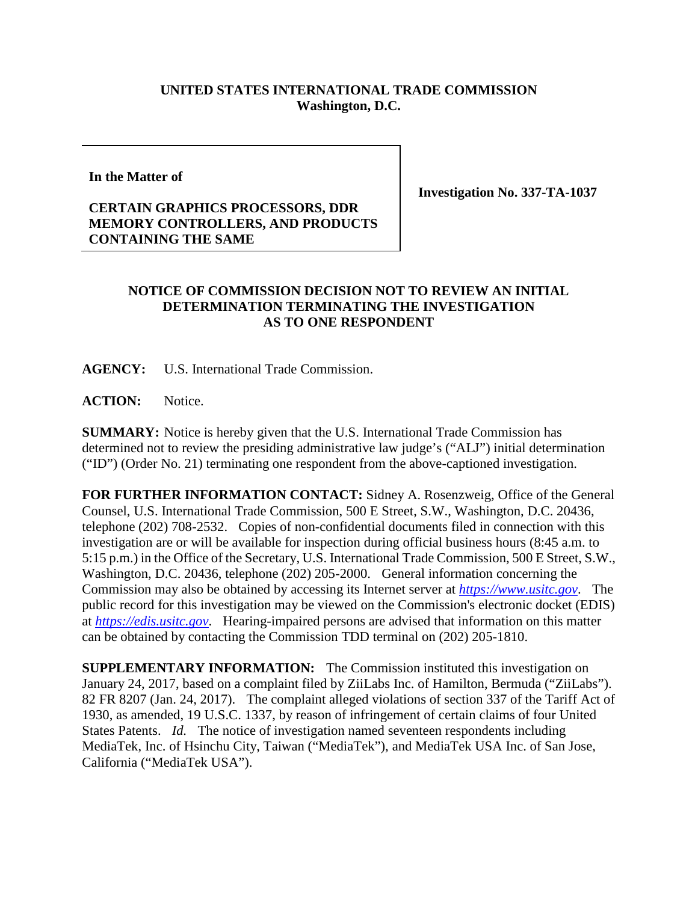## **UNITED STATES INTERNATIONAL TRADE COMMISSION Washington, D.C.**

**In the Matter of**

## **CERTAIN GRAPHICS PROCESSORS, DDR MEMORY CONTROLLERS, AND PRODUCTS CONTAINING THE SAME**

**Investigation No. 337-TA-1037**

## **NOTICE OF COMMISSION DECISION NOT TO REVIEW AN INITIAL DETERMINATION TERMINATING THE INVESTIGATION AS TO ONE RESPONDENT**

**AGENCY:** U.S. International Trade Commission.

ACTION: Notice.

**SUMMARY:** Notice is hereby given that the U.S. International Trade Commission has determined not to review the presiding administrative law judge's ("ALJ") initial determination ("ID") (Order No. 21) terminating one respondent from the above-captioned investigation.

**FOR FURTHER INFORMATION CONTACT:** Sidney A. Rosenzweig, Office of the General Counsel, U.S. International Trade Commission, 500 E Street, S.W., Washington, D.C. 20436, telephone (202) 708-2532. Copies of non-confidential documents filed in connection with this investigation are or will be available for inspection during official business hours (8:45 a.m. to 5:15 p.m.) in the Office of the Secretary, U.S. International Trade Commission, 500 E Street, S.W., Washington, D.C. 20436, telephone (202) 205-2000. General information concerning the Commission may also be obtained by accessing its Internet server at *[https://www.usitc.gov](https://www.usitc.gov/)*. The public record for this investigation may be viewed on the Commission's electronic docket (EDIS) at *[https://edis.usitc.gov](https://edis.usitc.gov/)*. Hearing-impaired persons are advised that information on this matter can be obtained by contacting the Commission TDD terminal on (202) 205-1810.

**SUPPLEMENTARY INFORMATION:** The Commission instituted this investigation on January 24, 2017, based on a complaint filed by ZiiLabs Inc. of Hamilton, Bermuda ("ZiiLabs"). 82 FR 8207 (Jan. 24, 2017). The complaint alleged violations of section 337 of the Tariff Act of 1930, as amended, 19 U.S.C. 1337, by reason of infringement of certain claims of four United States Patents. *Id.* The notice of investigation named seventeen respondents including MediaTek, Inc. of Hsinchu City, Taiwan ("MediaTek"), and MediaTek USA Inc. of San Jose, California ("MediaTek USA").